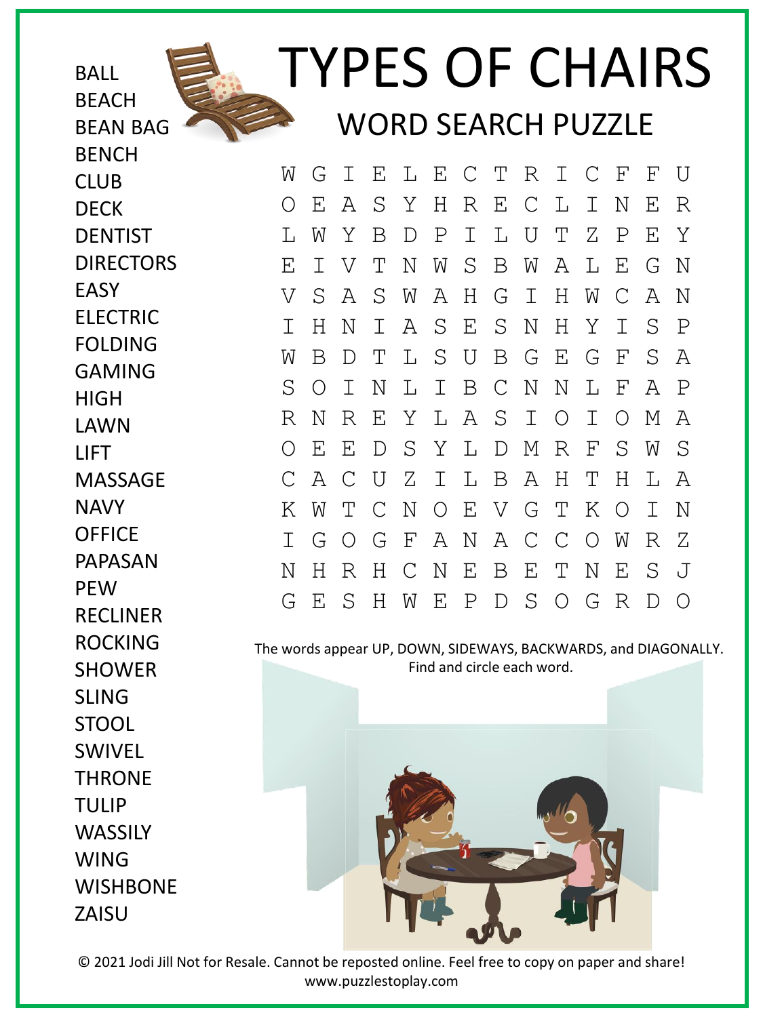

## TYPES OF CHAIRS WORD SEARCH PUZZLE

BEAN BAG **BENCH** CLUB DECK **DENTIST** DIRECTORS EASY ELECTRIC FOLDING GAMING HIGH LAWN LIFT MASSAGE NAVY **OFFICE** PAPASAN **PFW** RECLINER ROCKING SHOWER SLING STOOL SWIVEL THRONE TULIP **WASSILY** WING **WISHBONE** ZAISU

**BALL** 

**BFACH** 

W G I E L E C T R I C F F U O E A S Y H R E C L I N E R L W Y B D P I L U T Z P E Y E I V T N W S B W A L E G N V S A S W A H G I H W C A N I H N I A S E S N H Y I S P W B D T L S U B G E G F S A S O I N L I B C N N L F A P R N R E Y L A S I O I O M A O E E D S Y L D M R F S W S C A C U Z I L B A H T H L A K W T C N O E V G T K O I N I G O G F A N A C C O W R Z N H R H C N E B E T N E S J G E S H W E P D S O G R D O

The words appear UP, DOWN, SIDEWAYS, BACKWARDS, and DIAGONALLY. Find and circle each word.



© 2021 Jodi Jill Not for Resale. Cannot be reposted online. Feel free to copy on paper and share! www.puzzlestoplay.com